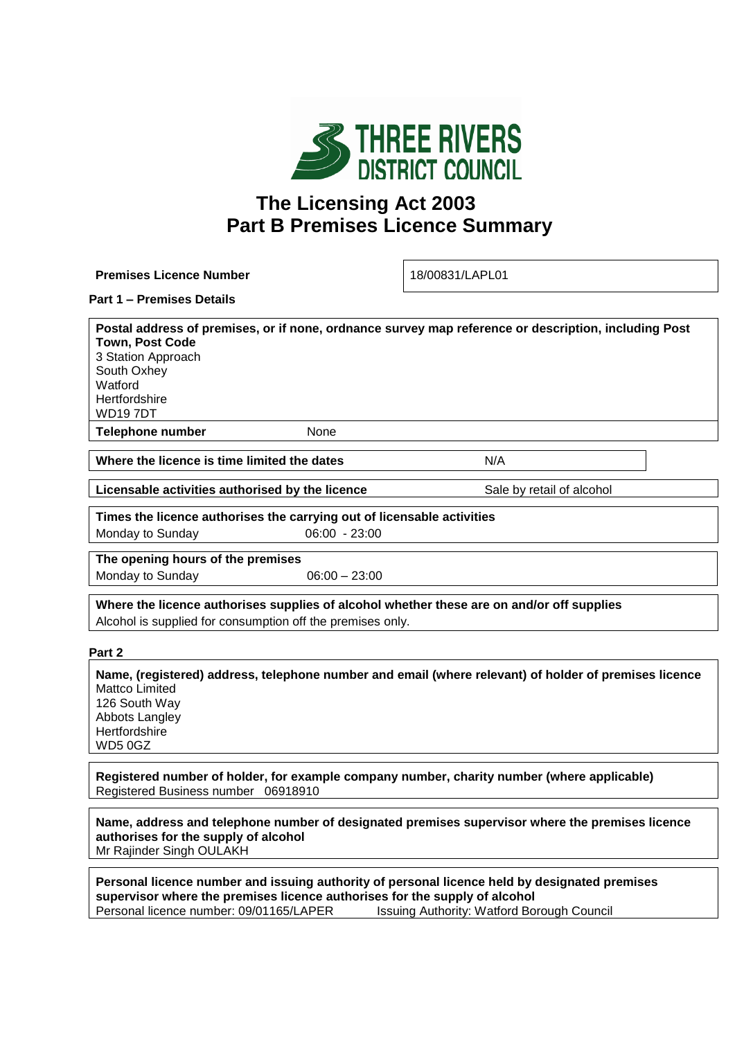

# **The Licensing Act 2003 Part B Premises Licence Summary**

**Premises Licence Number** 18/00831/LAPL01

## **Part 1 – Premises Details**

**Postal address of premises, or if none, ordnance survey map reference or description, including Post Town, Post Code** 3 Station Approach South Oxhey **Watford Hertfordshire** WD19 7DT **Telephone number** None

**Where the licence is time limited the dates** MIT **N/A** 

**Licensable activities authorised by the licence** Sale by retail of alcohol

**Times the licence authorises the carrying out of licensable activities**  Monday to Sunday 06:00 - 23:00

**The opening hours of the premises** Monday to Sunday  $06:00 - 23:00$ 

**Where the licence authorises supplies of alcohol whether these are on and/or off supplies** Alcohol is supplied for consumption off the premises only.

#### **Part 2**

**Name, (registered) address, telephone number and email (where relevant) of holder of premises licence** Mattco Limited 126 South Way

Abbots Langley **Hertfordshire** WD5 0GZ

**Registered number of holder, for example company number, charity number (where applicable)** Registered Business number 06918910

**Name, address and telephone number of designated premises supervisor where the premises licence authorises for the supply of alcohol** Mr Rajinder Singh OULAKH

**Personal licence number and issuing authority of personal licence held by designated premises supervisor where the premises licence authorises for the supply of alcohol** Personal licence number: 09/01165/LAPER Issuing Authority: Watford Borough Council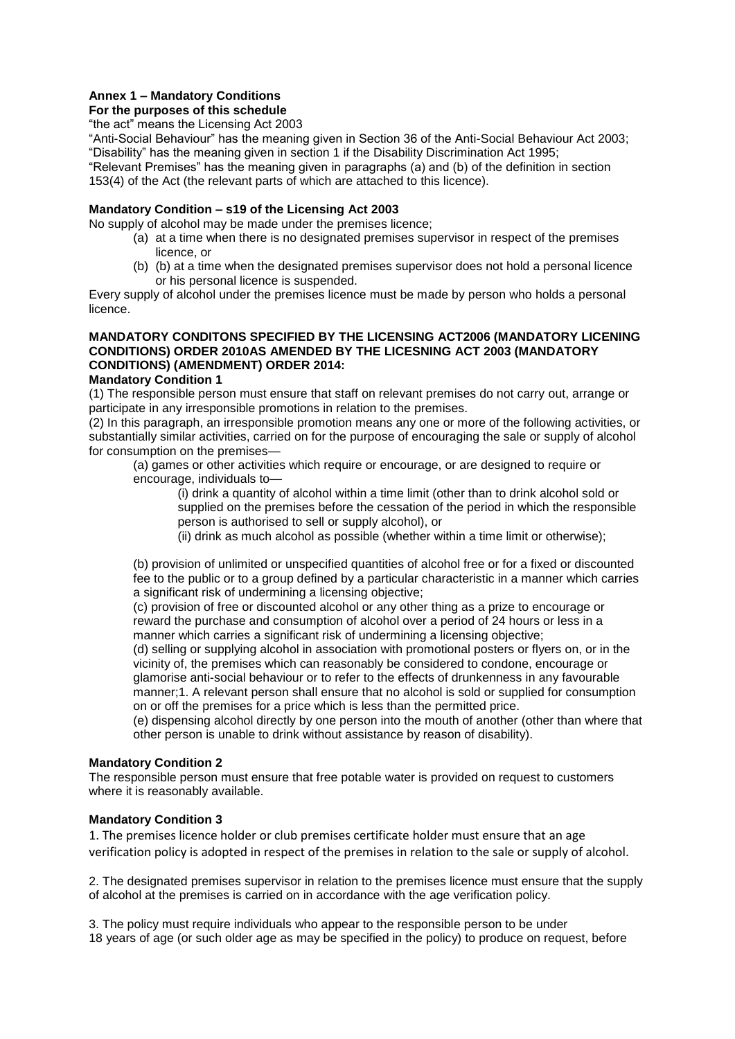# **Annex 1 – Mandatory Conditions**

# **For the purposes of this schedule**

"the act" means the Licensing Act 2003

"Anti-Social Behaviour" has the meaning given in Section 36 of the Anti-Social Behaviour Act 2003; "Disability" has the meaning given in section 1 if the Disability Discrimination Act 1995;

"Relevant Premises" has the meaning given in paragraphs (a) and (b) of the definition in section 153(4) of the Act (the relevant parts of which are attached to this licence).

#### **Mandatory Condition – s19 of the Licensing Act 2003**

No supply of alcohol may be made under the premises licence;

- (a) at a time when there is no designated premises supervisor in respect of the premises licence, or
- (b) (b) at a time when the designated premises supervisor does not hold a personal licence or his personal licence is suspended.

Every supply of alcohol under the premises licence must be made by person who holds a personal licence.

# **MANDATORY CONDITONS SPECIFIED BY THE LICENSING ACT2006 (MANDATORY LICENING CONDITIONS) ORDER 2010AS AMENDED BY THE LICESNING ACT 2003 (MANDATORY CONDITIONS) (AMENDMENT) ORDER 2014:**

#### **Mandatory Condition 1**

(1) The responsible person must ensure that staff on relevant premises do not carry out, arrange or participate in any irresponsible promotions in relation to the premises.

(2) In this paragraph, an irresponsible promotion means any one or more of the following activities, or substantially similar activities, carried on for the purpose of encouraging the sale or supply of alcohol for consumption on the premises—

(a) games or other activities which require or encourage, or are designed to require or encourage, individuals to—

(i) drink a quantity of alcohol within a time limit (other than to drink alcohol sold or supplied on the premises before the cessation of the period in which the responsible person is authorised to sell or supply alcohol), or

(ii) drink as much alcohol as possible (whether within a time limit or otherwise);

(b) provision of unlimited or unspecified quantities of alcohol free or for a fixed or discounted fee to the public or to a group defined by a particular characteristic in a manner which carries a significant risk of undermining a licensing objective;

(c) provision of free or discounted alcohol or any other thing as a prize to encourage or reward the purchase and consumption of alcohol over a period of 24 hours or less in a manner which carries a significant risk of undermining a licensing objective;

(d) selling or supplying alcohol in association with promotional posters or flyers on, or in the vicinity of, the premises which can reasonably be considered to condone, encourage or glamorise anti-social behaviour or to refer to the effects of drunkenness in any favourable manner;1. A relevant person shall ensure that no alcohol is sold or supplied for consumption on or off the premises for a price which is less than the permitted price.

(e) dispensing alcohol directly by one person into the mouth of another (other than where that other person is unable to drink without assistance by reason of disability).

#### **Mandatory Condition 2**

The responsible person must ensure that free potable water is provided on request to customers where it is reasonably available.

#### **Mandatory Condition 3**

1. The premises licence holder or club premises certificate holder must ensure that an age verification policy is adopted in respect of the premises in relation to the sale or supply of alcohol.

2. The designated premises supervisor in relation to the premises licence must ensure that the supply of alcohol at the premises is carried on in accordance with the age verification policy.

3. The policy must require individuals who appear to the responsible person to be under 18 years of age (or such older age as may be specified in the policy) to produce on request, before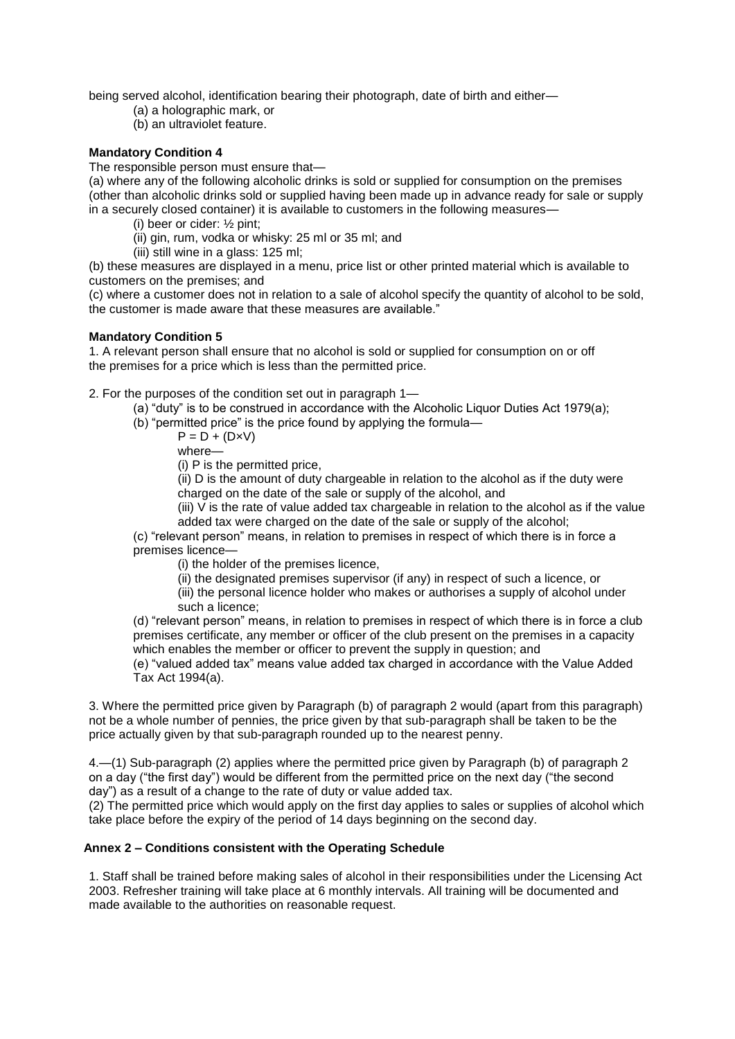being served alcohol, identification bearing their photograph, date of birth and either—

- (a) a holographic mark, or
- (b) an ultraviolet feature.

## **Mandatory Condition 4**

The responsible person must ensure that—

(a) where any of the following alcoholic drinks is sold or supplied for consumption on the premises (other than alcoholic drinks sold or supplied having been made up in advance ready for sale or supply in a securely closed container) it is available to customers in the following measures—

(i) beer or cider: ½ pint;

(ii) gin, rum, vodka or whisky: 25 ml or 35 ml; and

(iii) still wine in a glass: 125 ml;

(b) these measures are displayed in a menu, price list or other printed material which is available to customers on the premises; and

(c) where a customer does not in relation to a sale of alcohol specify the quantity of alcohol to be sold, the customer is made aware that these measures are available."

## **Mandatory Condition 5**

1. A relevant person shall ensure that no alcohol is sold or supplied for consumption on or off the premises for a price which is less than the permitted price.

2. For the purposes of the condition set out in paragraph 1—

- (a) "duty" is to be construed in accordance with the Alcoholic Liquor Duties Act 1979(a);
- (b) "permitted price" is the price found by applying the formula—
	- $P = D + (D \times V)$
	- where—

(i) P is the permitted price,

(ii) D is the amount of duty chargeable in relation to the alcohol as if the duty were charged on the date of the sale or supply of the alcohol, and

(iii)  $\overline{V}$  is the rate of value added tax chargeable in relation to the alcohol as if the value added tax were charged on the date of the sale or supply of the alcohol;

(c) "relevant person" means, in relation to premises in respect of which there is in force a premises licence—

(i) the holder of the premises licence,

(ii) the designated premises supervisor (if any) in respect of such a licence, or

(iii) the personal licence holder who makes or authorises a supply of alcohol under such a licence;

(d) "relevant person" means, in relation to premises in respect of which there is in force a club premises certificate, any member or officer of the club present on the premises in a capacity which enables the member or officer to prevent the supply in question; and

(e) "valued added tax" means value added tax charged in accordance with the Value Added Tax Act 1994(a).

3. Where the permitted price given by Paragraph (b) of paragraph 2 would (apart from this paragraph) not be a whole number of pennies, the price given by that sub-paragraph shall be taken to be the price actually given by that sub-paragraph rounded up to the nearest penny.

4.—(1) Sub-paragraph (2) applies where the permitted price given by Paragraph (b) of paragraph 2 on a day ("the first day") would be different from the permitted price on the next day ("the second day") as a result of a change to the rate of duty or value added tax.

(2) The permitted price which would apply on the first day applies to sales or supplies of alcohol which take place before the expiry of the period of 14 days beginning on the second day.

# **Annex 2 – Conditions consistent with the Operating Schedule**

1. Staff shall be trained before making sales of alcohol in their responsibilities under the Licensing Act 2003. Refresher training will take place at 6 monthly intervals. All training will be documented and made available to the authorities on reasonable request.